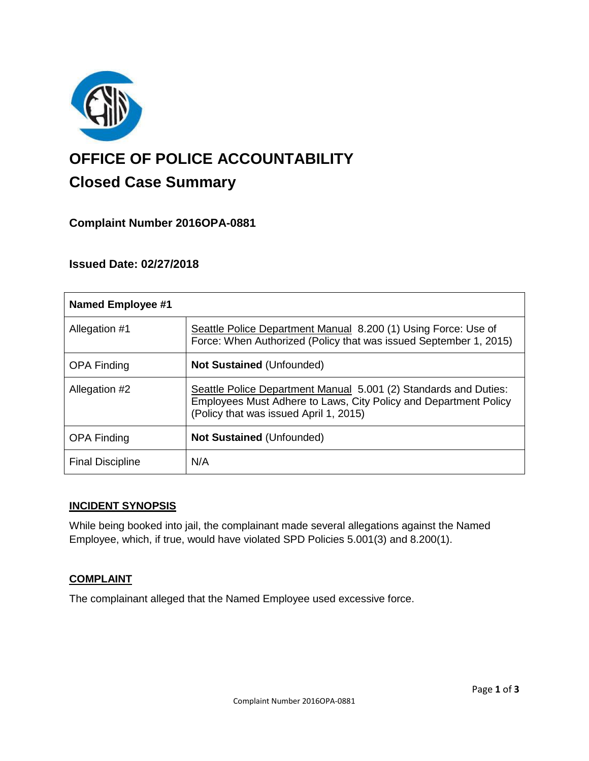

# **OFFICE OF POLICE ACCOUNTABILITY**

# **Closed Case Summary**

## **Complaint Number 2016OPA-0881**

### **Issued Date: 02/27/2018**

| <b>Named Employee #1</b> |                                                                                                                                                                                |
|--------------------------|--------------------------------------------------------------------------------------------------------------------------------------------------------------------------------|
| Allegation #1            | Seattle Police Department Manual 8.200 (1) Using Force: Use of<br>Force: When Authorized (Policy that was issued September 1, 2015)                                            |
| <b>OPA Finding</b>       | <b>Not Sustained (Unfounded)</b>                                                                                                                                               |
| Allegation #2            | Seattle Police Department Manual 5.001 (2) Standards and Duties:<br>Employees Must Adhere to Laws, City Policy and Department Policy<br>(Policy that was issued April 1, 2015) |
| <b>OPA Finding</b>       | <b>Not Sustained (Unfounded)</b>                                                                                                                                               |
| <b>Final Discipline</b>  | N/A                                                                                                                                                                            |

#### **INCIDENT SYNOPSIS**

While being booked into jail, the complainant made several allegations against the Named Employee, which, if true, would have violated SPD Policies 5.001(3) and 8.200(1).

#### **COMPLAINT**

The complainant alleged that the Named Employee used excessive force.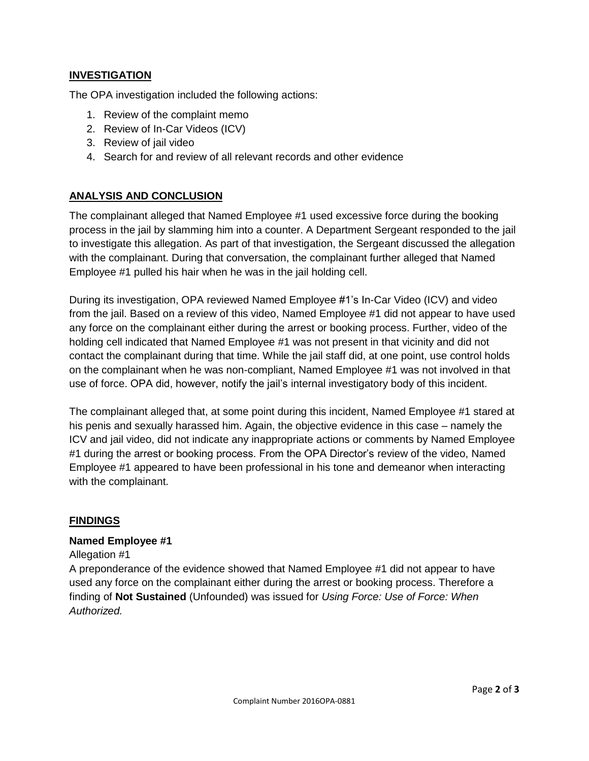#### **INVESTIGATION**

The OPA investigation included the following actions:

- 1. Review of the complaint memo
- 2. Review of In-Car Videos (ICV)
- 3. Review of jail video
- 4. Search for and review of all relevant records and other evidence

#### **ANALYSIS AND CONCLUSION**

The complainant alleged that Named Employee #1 used excessive force during the booking process in the jail by slamming him into a counter. A Department Sergeant responded to the jail to investigate this allegation. As part of that investigation, the Sergeant discussed the allegation with the complainant. During that conversation, the complainant further alleged that Named Employee #1 pulled his hair when he was in the jail holding cell.

During its investigation, OPA reviewed Named Employee #1's In-Car Video (ICV) and video from the jail. Based on a review of this video, Named Employee #1 did not appear to have used any force on the complainant either during the arrest or booking process. Further, video of the holding cell indicated that Named Employee #1 was not present in that vicinity and did not contact the complainant during that time. While the jail staff did, at one point, use control holds on the complainant when he was non-compliant, Named Employee #1 was not involved in that use of force. OPA did, however, notify the jail's internal investigatory body of this incident.

The complainant alleged that, at some point during this incident, Named Employee #1 stared at his penis and sexually harassed him. Again, the objective evidence in this case – namely the ICV and jail video, did not indicate any inappropriate actions or comments by Named Employee #1 during the arrest or booking process. From the OPA Director's review of the video, Named Employee #1 appeared to have been professional in his tone and demeanor when interacting with the complainant.

#### **FINDINGS**

#### **Named Employee #1**

Allegation #1

A preponderance of the evidence showed that Named Employee #1 did not appear to have used any force on the complainant either during the arrest or booking process. Therefore a finding of **Not Sustained** (Unfounded) was issued for *Using Force: Use of Force: When Authorized.*